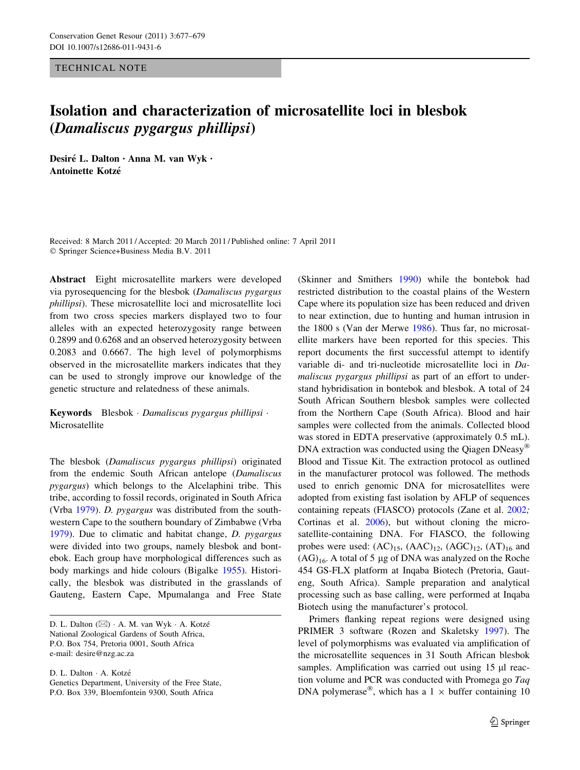TECHNICAL NOTE

## Isolation and characterization of microsatellite loci in blesbok (Damaliscus pygargus phillipsi)

Desiré L. Dalton · Anna M. van Wyk · Antoinette Kotze´

Received: 8 March 2011 / Accepted: 20 March 2011 / Published online: 7 April 2011 - Springer Science+Business Media B.V. 2011

Abstract Eight microsatellite markers were developed via pyrosequencing for the blesbok (Damaliscus pygargus phillipsi). These microsatellite loci and microsatellite loci from two cross species markers displayed two to four alleles with an expected heterozygosity range between 0.2899 and 0.6268 and an observed heterozygosity between 0.2083 and 0.6667. The high level of polymorphisms observed in the microsatellite markers indicates that they can be used to strongly improve our knowledge of the genetic structure and relatedness of these animals.

Keywords Blesbok - Damaliscus pygargus phillipsi - Microsatellite

The blesbok (Damaliscus pygargus phillipsi) originated from the endemic South African antelope (Damaliscus pygargus) which belongs to the Alcelaphini tribe. This tribe, according to fossil records, originated in South Africa (Vrba [1979\)](#page-2-0). D. pygargus was distributed from the southwestern Cape to the southern boundary of Zimbabwe (Vrba [1979\)](#page-2-0). Due to climatic and habitat change, D. pygargus were divided into two groups, namely blesbok and bontebok. Each group have morphological differences such as body markings and hide colours (Bigalke [1955](#page-1-0)). Historically, the blesbok was distributed in the grasslands of Gauteng, Eastern Cape, Mpumalanga and Free State

D. L. Dalton · A. Kotzé Genetics Department, University of the Free State, P.O. Box 339, Bloemfontein 9300, South Africa

(Skinner and Smithers [1990](#page-2-0)) while the bontebok had restricted distribution to the coastal plains of the Western Cape where its population size has been reduced and driven to near extinction, due to hunting and human intrusion in the 1800 s (Van der Merwe [1986](#page-2-0)). Thus far, no microsatellite markers have been reported for this species. This report documents the first successful attempt to identify variable di- and tri-nucleotide microsatellite loci in Damaliscus pygargus phillipsi as part of an effort to understand hybridisation in bontebok and blesbok. A total of 24 South African Southern blesbok samples were collected from the Northern Cape (South Africa). Blood and hair samples were collected from the animals. Collected blood was stored in EDTA preservative (approximately 0.5 mL). DNA extraction was conducted using the Qiagen DNeasy<sup>®</sup> Blood and Tissue Kit. The extraction protocol as outlined in the manufacturer protocol was followed. The methods used to enrich genomic DNA for microsatellites were adopted from existing fast isolation by AFLP of sequences containing repeats (FIASCO) protocols (Zane et al. [2002](#page-2-0); Cortinas et al. [2006](#page-1-0)), but without cloning the microsatellite-containing DNA. For FIASCO, the following probes were used:  $(AC)_{15}$ ,  $(AAC)_{12}$ ,  $(AGC)_{12}$ ,  $(AT)_{16}$  and  $(AG)_{16}$ . A total of 5 µg of DNA was analyzed on the Roche 454 GS-FLX platform at Inqaba Biotech (Pretoria, Gauteng, South Africa). Sample preparation and analytical processing such as base calling, were performed at Inqaba Biotech using the manufacturer's protocol.

Primers flanking repeat regions were designed using PRIMER 3 software (Rozen and Skaletsky [1997](#page-2-0)). The level of polymorphisms was evaluated via amplification of the microsatellite sequences in 31 South African blesbok samples. Amplification was carried out using  $15 \mu l$  reaction volume and PCR was conducted with Promega go Taq DNA polymerase<sup>®</sup>, which has a 1  $\times$  buffer containing 10

D. L. Dalton (⊠) · A. M. van Wyk · A. Kotzé National Zoological Gardens of South Africa, P.O. Box 754, Pretoria 0001, South Africa e-mail: desire@nzg.ac.za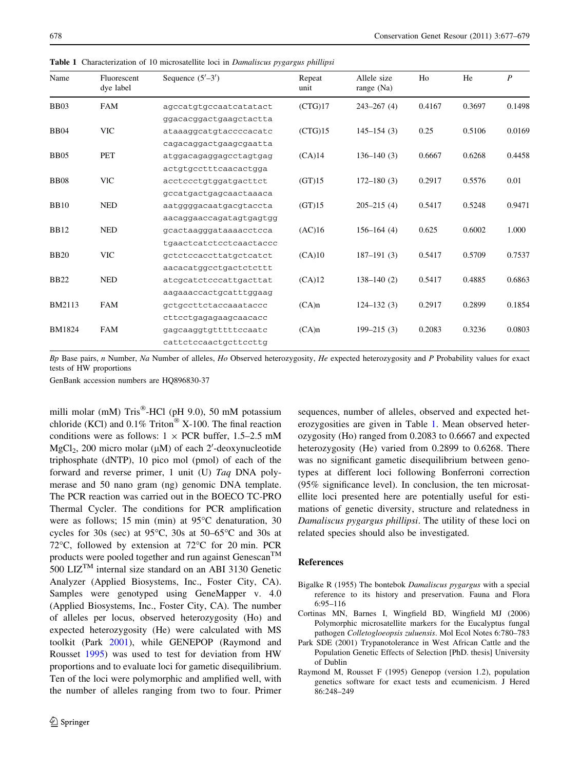| Name          | Fluorescent<br>dye label | Sequence $(5'–3')$      | Repeat<br>unit | Allele size<br>range (Na) | Ho     | He     | $\boldsymbol{P}$ |
|---------------|--------------------------|-------------------------|----------------|---------------------------|--------|--------|------------------|
| <b>BB03</b>   | <b>FAM</b>               | agccatgtgccaatcatatact  | (CTG)17        | $243 - 267(4)$            | 0.4167 | 0.3697 | 0.1498           |
|               |                          | ggacacggactgaagctactta  |                |                           |        |        |                  |
| <b>BB04</b>   | <b>VIC</b>               | ataaaggcatgtaccccacatc  | (CTG)15        | $145 - 154(3)$            | 0.25   | 0.5106 | 0.0169           |
|               |                          | cagacaggactgaagcgaatta  |                |                           |        |        |                  |
| <b>BB05</b>   | <b>PET</b>               | atggacagaggagcctagtgag  | (CA)14         | $136 - 140(3)$            | 0.6667 | 0.6268 | 0.4458           |
|               |                          | actgtgcctttcaacactgga   |                |                           |        |        |                  |
| <b>BB08</b>   | <b>VIC</b>               | acctccctgtggatgacttct   | (GT)15         | $172 - 180(3)$            | 0.2917 | 0.5576 | 0.01             |
|               |                          | gccatgactgagcaactaaaca  |                |                           |        |        |                  |
| <b>BB10</b>   | <b>NED</b>               | aatggggacaatgacgtaccta  | (GT)15         | $205 - 215(4)$            | 0.5417 | 0.5248 | 0.9471           |
|               |                          | aacaggaaccagatagtgagtgg |                |                           |        |        |                  |
| <b>BB12</b>   | <b>NED</b>               | gcactaagggataaaacctcca  | (AC)16         | $156 - 164(4)$            | 0.625  | 0.6002 | 1.000            |
|               |                          | tgaactcatctcctcaactaccc |                |                           |        |        |                  |
| <b>BB20</b>   | <b>VIC</b>               | gctctccaccttatgctcatct  | (CA)10         | $187 - 191(3)$            | 0.5417 | 0.5709 | 0.7537           |
|               |                          | aacacatggcctgactctcttt  |                |                           |        |        |                  |
| <b>BB22</b>   | <b>NED</b>               | atcgcatctcccattgacttat  | (CA)12         | $138 - 140(2)$            | 0.5417 | 0.4885 | 0.6863           |
|               |                          | aagaaaccactgcatttggaag  |                |                           |        |        |                  |
| <b>BM2113</b> | <b>FAM</b>               | gctgccttctaccaaataccc   | (CA)n          | $124 - 132(3)$            | 0.2917 | 0.2899 | 0.1854           |
|               |                          | cttcctgagagaagcaacacc   |                |                           |        |        |                  |
| <b>BM1824</b> | <b>FAM</b>               | gagcaaggtgtttttccaatc   | (CA)n          | $199 - 215(3)$            | 0.2083 | 0.3236 | 0.0803           |
|               |                          | cattctccaactgcttccttg   |                |                           |        |        |                  |

<span id="page-1-0"></span>Table 1 Characterization of 10 microsatellite loci in Damaliscus pygargus phillipsi

Bp Base pairs, n Number, Na Number of alleles, Ho Observed heterozygosity, He expected heterozygosity and P Probability values for exact tests of HW proportions

GenBank accession numbers are HQ896830-37

milli molar (mM)  $Tris^{\circledR}$ -HCl (pH 9.0), 50 mM potassium chloride (KCl) and  $0.1\%$  Triton<sup>®</sup> X-100. The final reaction conditions were as follows:  $1 \times PCR$  buffer, 1.5–2.5 mM  $MgCl<sub>2</sub>$ , 200 micro molar ( $\mu$ M) of each 2'-deoxynucleotide triphosphate (dNTP), 10 pico mol (pmol) of each of the forward and reverse primer, 1 unit (U) Taq DNA polymerase and 50 nano gram (ng) genomic DNA template. The PCR reaction was carried out in the BOECO TC-PRO Thermal Cycler. The conditions for PCR amplification were as follows; 15 min (min) at  $95^{\circ}$ C denaturation, 30 cycles for 30s (sec) at  $95^{\circ}$ C, 30s at  $50-65^{\circ}$ C and 30s at 72 $\degree$ C, followed by extension at 72 $\degree$ C for 20 min. PCR products were pooled together and run against Genescan<sup>TM</sup> 500 LIZ<sup>TM</sup> internal size standard on an ABI 3130 Genetic Analyzer (Applied Biosystems, Inc., Foster City, CA). Samples were genotyped using GeneMapper v. 4.0 (Applied Biosystems, Inc., Foster City, CA). The number of alleles per locus, observed heterozygosity (Ho) and expected heterozygosity (He) were calculated with MS toolkit (Park 2001), while GENEPOP (Raymond and Rousset 1995) was used to test for deviation from HW proportions and to evaluate loci for gametic disequilibrium. Ten of the loci were polymorphic and amplified well, with the number of alleles ranging from two to four. Primer sequences, number of alleles, observed and expected heterozygosities are given in Table 1. Mean observed heterozygosity (Ho) ranged from 0.2083 to 0.6667 and expected heterozygosity (He) varied from 0.2899 to 0.6268. There was no significant gametic disequilibrium between genotypes at different loci following Bonferroni correction (95% significance level). In conclusion, the ten microsatellite loci presented here are potentially useful for estimations of genetic diversity, structure and relatedness in Damaliscus pygargus phillipsi. The utility of these loci on related species should also be investigated.

## References

- Bigalke R (1955) The bontebok Damaliscus pygargus with a special reference to its history and preservation. Fauna and Flora 6:95–116
- Cortinas MN, Barnes I, Wingfield BD, Wingfield MJ (2006) Polymorphic microsatellite markers for the Eucalyptus fungal pathogen Colletogloeopsis zuluensis. Mol Ecol Notes 6:780–783
- Park SDE (2001) Trypanotolerance in West African Cattle and the Population Genetic Effects of Selection [PhD. thesis] University of Dublin
- Raymond M, Rousset F (1995) Genepop (version 1.2), population genetics software for exact tests and ecumenicism. J Hered 86:248–249